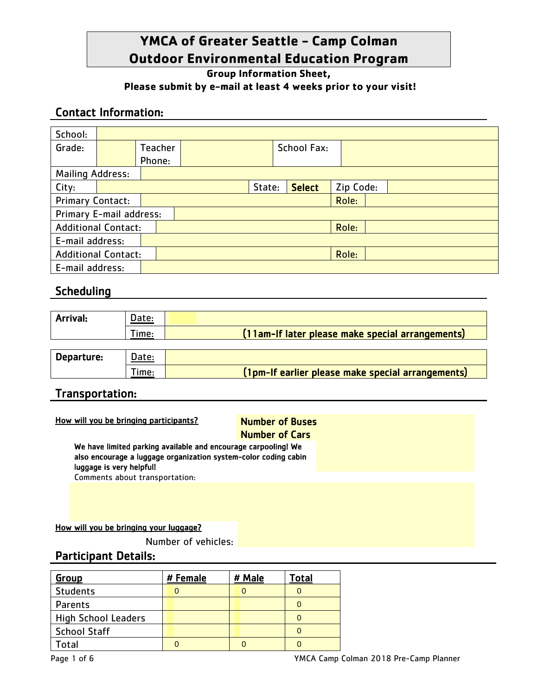# **YMCA of Greater Seattle - Camp Colman Outdoor Environmental Education Program**

**Group Information Sheet,** 

#### **Please submit by e-mail at least 4 weeks prior to your visit!**

## Contact Information:

| School:                    |  |                |        |                    |  |               |           |  |  |
|----------------------------|--|----------------|--------|--------------------|--|---------------|-----------|--|--|
| Grade:                     |  | <b>Teacher</b> |        | <b>School Fax:</b> |  |               |           |  |  |
|                            |  | Phone:         |        |                    |  |               |           |  |  |
| <b>Mailing Address:</b>    |  |                |        |                    |  |               |           |  |  |
| City:                      |  |                | State: |                    |  | <b>Select</b> | Zip Code: |  |  |
| <b>Primary Contact:</b>    |  |                |        |                    |  | Role:         |           |  |  |
| Primary E-mail address:    |  |                |        |                    |  |               |           |  |  |
| <b>Additional Contact:</b> |  |                | Role:  |                    |  |               |           |  |  |
| E-mail address:            |  |                |        |                    |  |               |           |  |  |
| <b>Additional Contact:</b> |  |                |        |                    |  | Role:         |           |  |  |
| E-mail address:            |  |                |        |                    |  |               |           |  |  |

## **Scheduling**

| Arrival:   | Date: |                                                   |
|------------|-------|---------------------------------------------------|
|            | Time: | (11am-If later please make special arrangements)  |
|            |       |                                                   |
| Departure: | Date: |                                                   |
|            | 「ime: | (1pm-If earlier please make special arrangements) |

## Transportation:

## How will you be bringing participants?<br>Number of Buses

# Number of Cars

We have limited parking available and encourage carpooling! We also encourage a luggage organization system-color coding cabin luggage is very helpful! Comments about transportation:

#### How will you be bringing your luggage?

Number of vehicles:

## Participant Details:

| <b>Group</b>               | # Female | # Male | Total |
|----------------------------|----------|--------|-------|
| <b>Students</b>            |          |        |       |
| Parents                    |          |        |       |
| <b>High School Leaders</b> |          |        |       |
| <b>School Staff</b>        |          |        |       |
| <b>otal</b>                |          |        |       |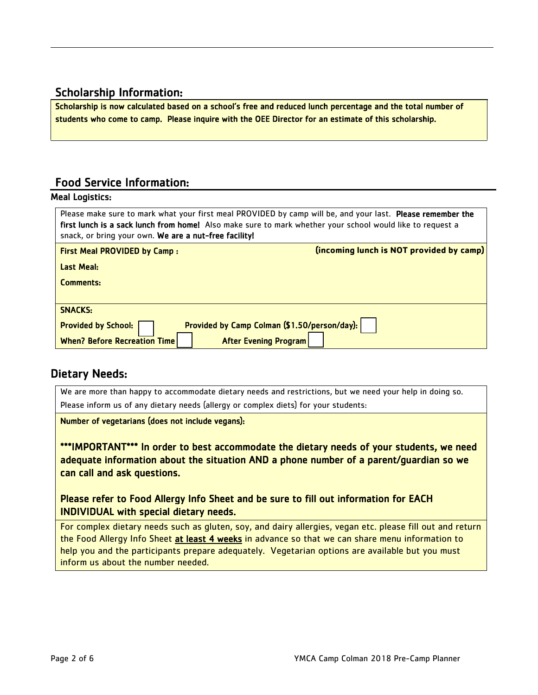## Scholarship Information:

Scholarship is now calculated based on a school's free and reduced lunch percentage and the total number of students who come to camp. Please inquire with the OEE Director for an estimate of this scholarship.

## Food Service Information:

#### Meal Logistics:

| Please make sure to mark what your first meal PROVIDED by camp will be, and your last. Please remember the<br>first lunch is a sack lunch from home! Also make sure to mark whether your school would like to request a<br>snack, or bring your own. We are a nut-free facility! |  |  |  |  |
|----------------------------------------------------------------------------------------------------------------------------------------------------------------------------------------------------------------------------------------------------------------------------------|--|--|--|--|
| (incoming lunch is NOT provided by camp)<br><b>First Meal PROVIDED by Camp:</b>                                                                                                                                                                                                  |  |  |  |  |
| Last Meal:                                                                                                                                                                                                                                                                       |  |  |  |  |
| Comments:                                                                                                                                                                                                                                                                        |  |  |  |  |
|                                                                                                                                                                                                                                                                                  |  |  |  |  |
| <b>SNACKS:</b>                                                                                                                                                                                                                                                                   |  |  |  |  |
| Provided by Camp Colman (\$1.50/person/day):<br><b>Provided by School:</b>                                                                                                                                                                                                       |  |  |  |  |
| <b>After Evening Program</b><br><b>When? Before Recreation Time</b>                                                                                                                                                                                                              |  |  |  |  |

## Dietary Needs:

We are more than happy to accommodate dietary needs and restrictions, but we need your help in doing so. Please inform us of any dietary needs (allergy or complex diets) for your students:

Number of vegetarians (does not include vegans):

\*\*\*IMPORTANT\*\*\* In order to best accommodate the dietary needs of your students, we need adequate information about the situation AND a phone number of a parent/guardian so we can call and ask questions.

Please refer to Food Allergy Info Sheet and be sure to fill out information for EACH INDIVIDUAL with special dietary needs.

For complex dietary needs such as gluten, soy, and dairy allergies, vegan etc. please fill out and return the Food Allergy Info Sheet at least 4 weeks in advance so that we can share menu information to help you and the participants prepare adequately. Vegetarian options are available but you must inform us about the number needed.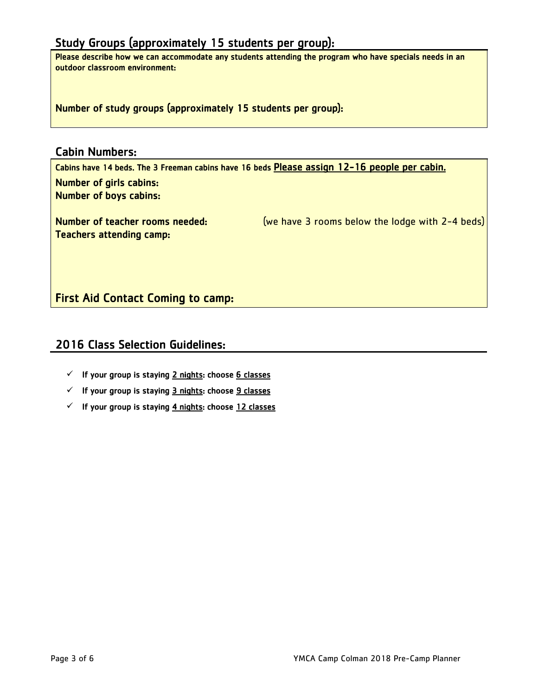## Study Groups (approximately 15 students per group):

Please describe how we can accommodate any students attending the program who have specials needs in an outdoor classroom environment:

Number of study groups (approximately 15 students per group):

#### Cabin Numbers:

Cabins have 14 beds. The 3 Freeman cabins have 16 beds Please assign 12-16 people per cabin. Number of girls cabins: Number of boys cabins:

Number of teacher rooms needed: (we have 3 rooms below the lodge with 2-4 beds) Teachers attending camp:

First Aid Contact Coming to camp:

## 2016 Class Selection Guidelines:

- $\checkmark$  If your group is staying 2 nights: choose 6 classes
- $\checkmark$  If your group is staying 3 nights: choose 9 classes
- $\checkmark$  If your group is staying 4 nights: choose 12 classes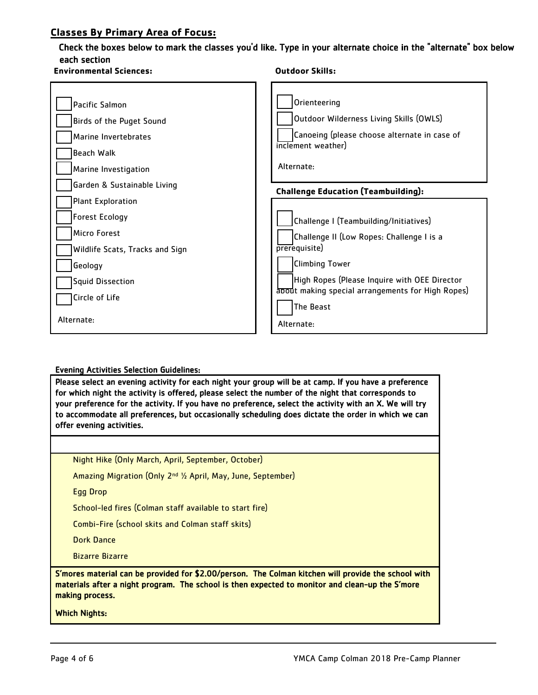#### **Classes By Primary Area of Focus:**

#### Check the boxes below to mark the classes you'd like. Type in your alternate choice in the "alternate" box below each section

| <b>Environmental Sciences:</b>                                                                                                                               | <b>Outdoor Skills:</b>                                                                                                                                                                                                                          |  |  |
|--------------------------------------------------------------------------------------------------------------------------------------------------------------|-------------------------------------------------------------------------------------------------------------------------------------------------------------------------------------------------------------------------------------------------|--|--|
| Pacific Salmon<br>Birds of the Puget Sound<br>Marine Invertebrates<br><b>Beach Walk</b><br>Marine Investigation                                              | Orienteering<br>Outdoor Wilderness Living Skills (OWLS)<br>Canoeing (please choose alternate in case of<br>inclement weather)<br>Alternate:                                                                                                     |  |  |
| Garden & Sustainable Living                                                                                                                                  | <b>Challenge Education (Teambuilding):</b>                                                                                                                                                                                                      |  |  |
| <b>Plant Exploration</b><br><b>Forest Ecology</b><br>Micro Forest<br>Wildlife Scats, Tracks and Sign<br>Geology<br><b>Squid Dissection</b><br>Circle of Life | Challenge I (Teambuilding/Initiatives)<br>Challenge II (Low Ropes: Challenge I is a<br>prerequisite)<br><b>Climbing Tower</b><br>High Ropes (Please Inquire with OEE Director<br>about making special arrangements for High Ropes)<br>The Beast |  |  |
| Alternate:                                                                                                                                                   | Alternate:                                                                                                                                                                                                                                      |  |  |

#### Evening Activities Selection Guidelines:

Please select an evening activity for each night your group will be at camp. If you have a preference for which night the activity is offered, please select the number of the night that corresponds to your preference for the activity. If you have no preference, select the activity with an X. We will try to accommodate all preferences, but occasionally scheduling does dictate the order in which we can offer evening activities.

Night Hike (Only March, April, September, October)

Amazing Migration (Only 2nd ½ April, May, June, September)

Egg Drop

School-led fires (Colman staff available to start fire)

Combi-Fire (school skits and Colman staff skits)

Dork Dance

Bizarre Bizarre

S'mores material can be provided for \$2.00/person. The Colman kitchen will provide the school with materials after a night program. The school is then expected to monitor and clean-up the S'more making process.

Which Nights: